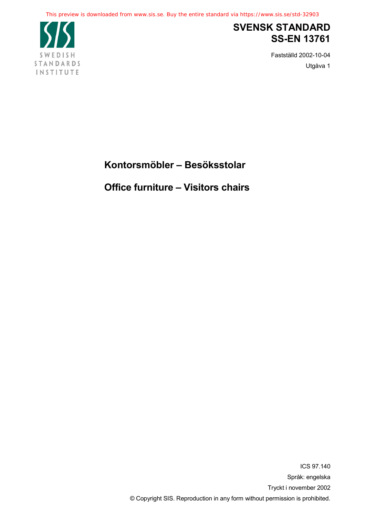

## **SVENSK STANDARD SS-EN 13761**

Fastställd 2002-10-04 Utgåva 1

**Kontorsmöbler – Besöksstolar**

**Office furniture – Visitors chairs**

ICS 97.140 Språk: engelska Tryckt i november 2002 © Copyright SIS. Reproduction in any form without permission is prohibited.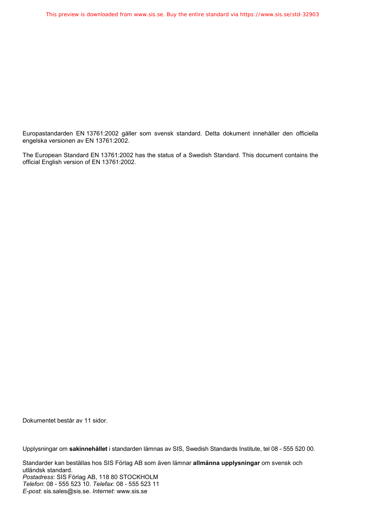Europastandarden EN 13761:2002 gäller som svensk standard. Detta dokument innehåller den officiella engelska versionen av EN 13761:2002.

The European Standard EN 13761:2002 has the status of a Swedish Standard. This document contains the official English version of EN 13761:2002.

Dokumentet består av 11 sidor.

Upplysningar om **sakinnehållet** i standarden lämnas av SIS, Swedish Standards Institute, tel 08 - 555 520 00.

Standarder kan beställas hos SIS Förlag AB som även lämnar **allmänna upplysningar** om svensk och utländsk standard. *Postadress*: SIS Förlag AB, 118 80 STOCKHOLM *Telefon*: 08 - 555 523 10. *Telefax*: 08 - 555 523 11 *E-post*: sis.sales@sis.se. *Internet*: www.sis.se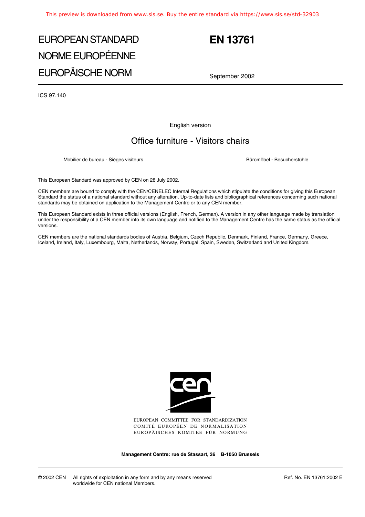# EUROPEAN STANDARD NORME EUROPÉENNE EUROPÄISCHE NORM

## **EN 13761**

September 2002

ICS 97.140

English version

### Office furniture - Visitors chairs

Mobilier de bureau - Sièges visiteurs **Büromöbel - Büromöbel - Besucherstühle** - Besucherstühle

This European Standard was approved by CEN on 28 July 2002.

CEN members are bound to comply with the CEN/CENELEC Internal Regulations which stipulate the conditions for giving this European Standard the status of a national standard without any alteration. Up-to-date lists and bibliographical references concerning such national standards may be obtained on application to the Management Centre or to any CEN member.

This European Standard exists in three official versions (English, French, German). A version in any other language made by translation under the responsibility of a CEN member into its own language and notified to the Management Centre has the same status as the official versions.

CEN members are the national standards bodies of Austria, Belgium, Czech Republic, Denmark, Finland, France, Germany, Greece, Iceland, Ireland, Italy, Luxembourg, Malta, Netherlands, Norway, Portugal, Spain, Sweden, Switzerland and United Kingdom.



EUROPEAN COMMITTEE FOR STANDARDIZATION COMITÉ EUROPÉEN DE NORMALISATION EUROPÄISCHES KOMITEE FÜR NORMUNG

**Management Centre: rue de Stassart, 36 B-1050 Brussels**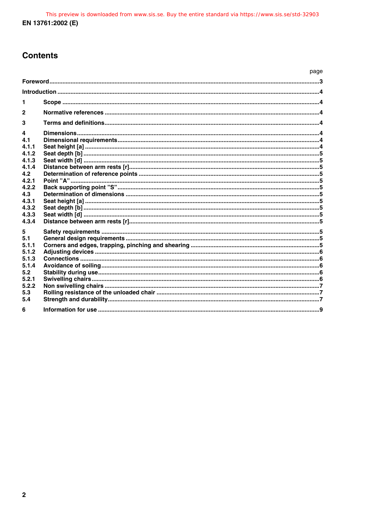## **Contents**

|                                                                                                                  | page |  |
|------------------------------------------------------------------------------------------------------------------|------|--|
|                                                                                                                  |      |  |
|                                                                                                                  |      |  |
| 1                                                                                                                |      |  |
| $\mathbf{2}$                                                                                                     |      |  |
| 3                                                                                                                |      |  |
| 4<br>4.1<br>4.1.1<br>4.1.2<br>4.1.3<br>4.1.4<br>4.2<br>4.2.1<br>4.2.2<br>4.3<br>4.3.1<br>4.3.2<br>4.3.3<br>4.3.4 |      |  |
| 5<br>5.1<br>5.1.1<br>5.1.2<br>5.1.3<br>5.1.4<br>5.2<br>5.2.1<br>5.2.2<br>5.3<br>5.4                              |      |  |
| 6                                                                                                                |      |  |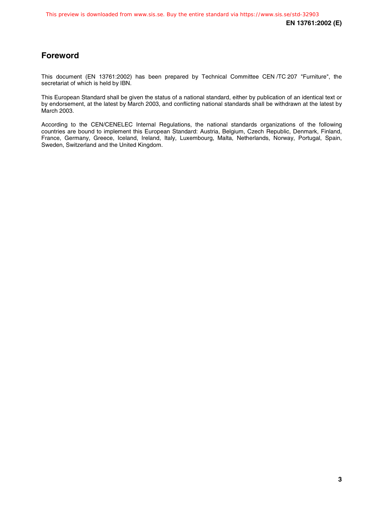## **Foreword**

This document (EN 13761:2002) has been prepared by Technical Committee CEN /TC 207 "Furniture", the secretariat of which is held by IBN.

This European Standard shall be given the status of a national standard, either by publication of an identical text or by endorsement, at the latest by March 2003, and conflicting national standards shall be withdrawn at the latest by March 2003.

According to the CEN/CENELEC Internal Regulations, the national standards organizations of the following countries are bound to implement this European Standard: Austria, Belgium, Czech Republic, Denmark, Finland, France, Germany, Greece, Iceland, Ireland, Italy, Luxembourg, Malta, Netherlands, Norway, Portugal, Spain, Sweden, Switzerland and the United Kingdom.